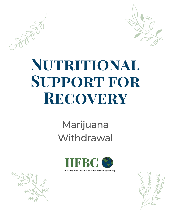

## NUTRITIONAL SUPPORT FOR RECOVERY

### Marijuana Withdrawal



**International Institute of Faith Based Counseling** 

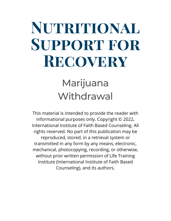# **Nutritional Support for Recovery**

#### Marijuana **Withdrawal**

This material is intended to provide the reader with informational purposes only. Copyright © 2022, International Institute of Faith Based Counseling. All rights reserved. No part of this publication may be reproduced, stored, in a retrieval system or transmitted in any form by any means, electronic, mechanical, photocopying, recording, or otherwise, without prior written permission of Life Training Institute (International Institute of Faith Based Counseling), and its authors.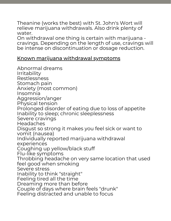Theanine (works the best) with St. John's Wort will relieve marijuana withdrawals. Also drink plenty of water.

On withdrawal one thing is certain with marijuana cravings. Depending on the length of use, cravings will be intense on discontinuation or dosage reduction.

#### Known marijuana withdrawal symptoms

Abnormal dreams Irritability Restlessness Stomach pain Anxiety (most common) Insomnia Aggression/anger Physical tension Prolonged disorder of eating due to loss of appetite Inability to sleep; chronic sleeplessness Severe cravings Headaches Disgust so strong it makes you feel sick or want to vomit (nausea) Individually reported marijuana withdrawal experiences Coughing up yellow/black stuff Flu-like symptoms Throbbing headache on very same location that used feel good when smoking Severe stress Inability to think "straight" Feeling tired all the time Dreaming more than before Couple of days where brain feels "drunk" Feeling distracted and unable to focus